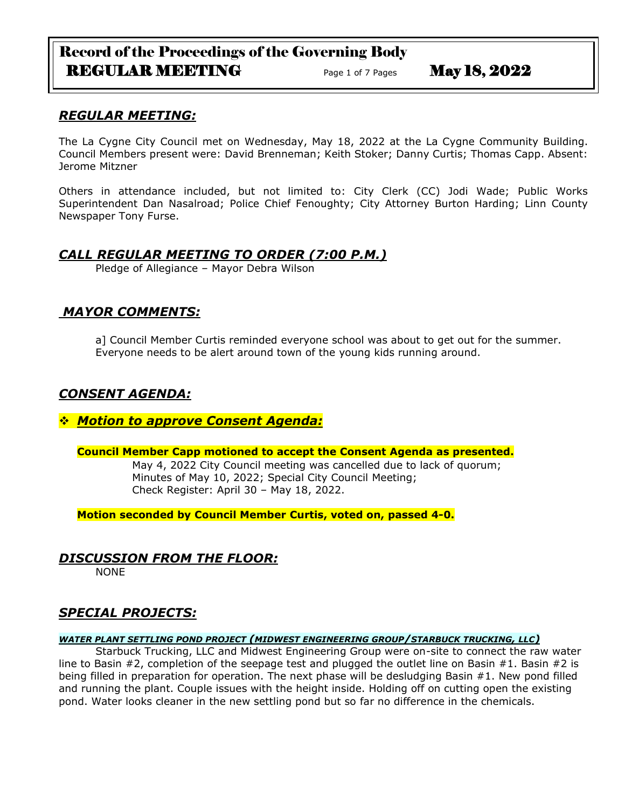# Record of the Proceedings of the Governing Body REGULAR MEETING Page 1 of 7 Pages May 18, 2022

# *REGULAR MEETING:*

The La Cygne City Council met on Wednesday, May 18, 2022 at the La Cygne Community Building. Council Members present were: David Brenneman; Keith Stoker; Danny Curtis; Thomas Capp. Absent: Jerome Mitzner

Others in attendance included, but not limited to: City Clerk (CC) Jodi Wade; Public Works Superintendent Dan Nasalroad; Police Chief Fenoughty; City Attorney Burton Harding; Linn County Newspaper Tony Furse.

# *CALL REGULAR MEETING TO ORDER (7:00 P.M.)*

Pledge of Allegiance – Mayor Debra Wilson

# *MAYOR COMMENTS:*

a] Council Member Curtis reminded everyone school was about to get out for the summer. Everyone needs to be alert around town of the young kids running around.

# *CONSENT AGENDA:*

# ❖ *Motion to approve Consent Agenda:*

## **Council Member Capp motioned to accept the Consent Agenda as presented.**

May 4, 2022 City Council meeting was cancelled due to lack of quorum; Minutes of May 10, 2022; Special City Council Meeting; Check Register: April 30 – May 18, 2022.

**Motion seconded by Council Member Curtis, voted on, passed 4-0.** 

# *DISCUSSION FROM THE FLOOR:*

NONE

# *SPECIAL PROJECTS:*

### *WATER PLANT SETTLING POND PROJECT (MIDWEST ENGINEERING GROUP/STARBUCK TRUCKING, LLC)*

Starbuck Trucking, LLC and Midwest Engineering Group were on-site to connect the raw water line to Basin #2, completion of the seepage test and plugged the outlet line on Basin #1. Basin #2 is being filled in preparation for operation. The next phase will be desludging Basin #1. New pond filled and running the plant. Couple issues with the height inside. Holding off on cutting open the existing pond. Water looks cleaner in the new settling pond but so far no difference in the chemicals.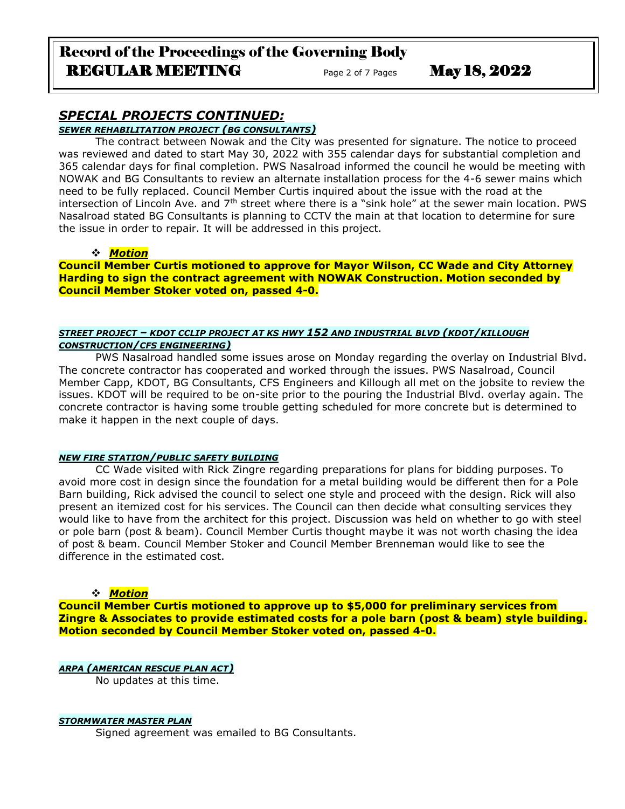# *SPECIAL PROJECTS CONTINUED:*

*SEWER REHABILITATION PROJECT (BG CONSULTANTS)*

The contract between Nowak and the City was presented for signature. The notice to proceed was reviewed and dated to start May 30, 2022 with 355 calendar days for substantial completion and 365 calendar days for final completion. PWS Nasalroad informed the council he would be meeting with NOWAK and BG Consultants to review an alternate installation process for the 4-6 sewer mains which need to be fully replaced. Council Member Curtis inquired about the issue with the road at the intersection of Lincoln Ave. and 7<sup>th</sup> street where there is a "sink hole" at the sewer main location. PWS Nasalroad stated BG Consultants is planning to CCTV the main at that location to determine for sure the issue in order to repair. It will be addressed in this project.

### ❖ *Motion*

**Council Member Curtis motioned to approve for Mayor Wilson, CC Wade and City Attorney Harding to sign the contract agreement with NOWAK Construction. Motion seconded by Council Member Stoker voted on, passed 4-0.**

#### *STREET PROJECT – KDOT CCLIP PROJECT AT KS HWY 152 AND INDUSTRIAL BLVD (KDOT/KILLOUGH CONSTRUCTION/CFS ENGINEERING)*

PWS Nasalroad handled some issues arose on Monday regarding the overlay on Industrial Blvd. The concrete contractor has cooperated and worked through the issues. PWS Nasalroad, Council Member Capp, KDOT, BG Consultants, CFS Engineers and Killough all met on the jobsite to review the issues. KDOT will be required to be on-site prior to the pouring the Industrial Blvd. overlay again. The concrete contractor is having some trouble getting scheduled for more concrete but is determined to make it happen in the next couple of days.

#### *NEW FIRE STATION/PUBLIC SAFETY BUILDING*

CC Wade visited with Rick Zingre regarding preparations for plans for bidding purposes. To avoid more cost in design since the foundation for a metal building would be different then for a Pole Barn building, Rick advised the council to select one style and proceed with the design. Rick will also present an itemized cost for his services. The Council can then decide what consulting services they would like to have from the architect for this project. Discussion was held on whether to go with steel or pole barn (post & beam). Council Member Curtis thought maybe it was not worth chasing the idea of post & beam. Council Member Stoker and Council Member Brenneman would like to see the difference in the estimated cost.

## ❖ *Motion*

**Council Member Curtis motioned to approve up to \$5,000 for preliminary services from Zingre & Associates to provide estimated costs for a pole barn (post & beam) style building. Motion seconded by Council Member Stoker voted on, passed 4-0.**

*ARPA (AMERICAN RESCUE PLAN ACT)* No updates at this time.

#### *STORMWATER MASTER PLAN*

Signed agreement was emailed to BG Consultants.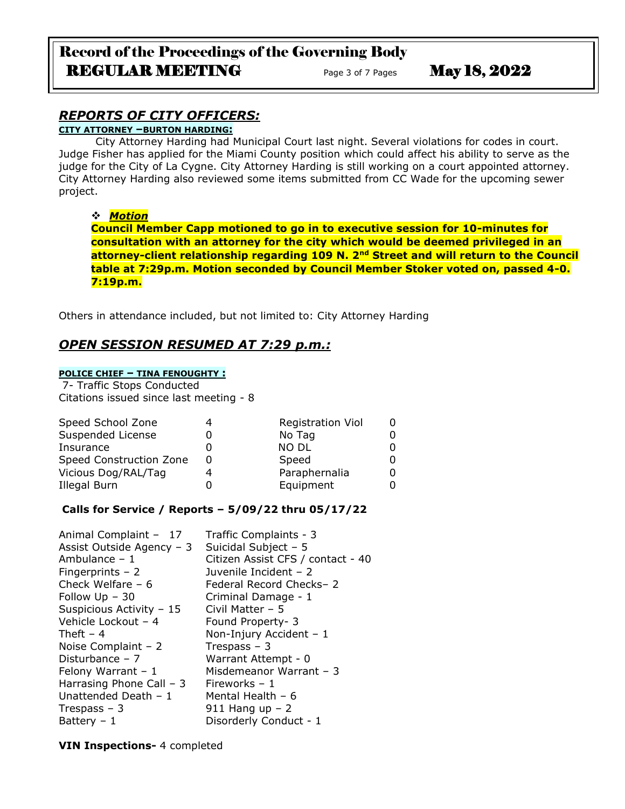# Record of the Proceedings of the Governing Body REGULAR MEETING Page 3 of 7 Pages May 18, 2022

# *REPORTS OF CITY OFFICERS:*

## **CITY ATTORNEY –BURTON HARDING:**

City Attorney Harding had Municipal Court last night. Several violations for codes in court. Judge Fisher has applied for the Miami County position which could affect his ability to serve as the judge for the City of La Cygne. City Attorney Harding is still working on a court appointed attorney. City Attorney Harding also reviewed some items submitted from CC Wade for the upcoming sewer project.

### ❖ *Motion*

**Council Member Capp motioned to go in to executive session for 10-minutes for consultation with an attorney for the city which would be deemed privileged in an attorney-client relationship regarding 109 N. 2nd Street and will return to the Council table at 7:29p.m. Motion seconded by Council Member Stoker voted on, passed 4-0. 7:19p.m.**

Others in attendance included, but not limited to: City Attorney Harding

# *OPEN SESSION RESUMED AT 7:29 p.m.:*

## **POLICE CHIEF – TINA FENOUGHTY :**

7- Traffic Stops Conducted Citations issued since last meeting - 8

| Speed School Zone       | <b>Registration Viol</b> |    |
|-------------------------|--------------------------|----|
| Suspended License       | No Tag                   |    |
| Insurance               | <b>NO DL</b>             | O. |
| Speed Construction Zone | Speed                    | O. |
| Vicious Dog/RAL/Tag     | Paraphernalia            | 0  |
| Illegal Burn            | Equipment                |    |

### **Calls for Service / Reports – 5/09/22 thru 05/17/22**

| Animal Complaint - 17     | Traffic Complaints - 3            |
|---------------------------|-----------------------------------|
| Assist Outside Agency - 3 | Suicidal Subject - 5              |
| Ambulance $-1$            | Citizen Assist CFS / contact - 40 |
| Fingerprints $-2$         | Juvenile Incident - 2             |
| Check Welfare $-6$        | Federal Record Checks- 2          |
| Follow $Up - 30$          | Criminal Damage - 1               |
| Suspicious Activity - 15  | Civil Matter $-5$                 |
| Vehicle Lockout - 4       | Found Property- 3                 |
| Theft $-4$                | Non-Injury Accident - 1           |
| Noise Complaint $-2$      | Trespass $-3$                     |
| Disturbance $-7$          | Warrant Attempt - 0               |
| Felony Warrant $-1$       | Misdemeanor Warrant - 3           |
| Harrasing Phone Call $-3$ | Fireworks $-1$                    |
| Unattended Death $-1$     | Mental Health - 6                 |
| Trespass $-3$             | 911 Hang up $-2$                  |
| Battery $-1$              | Disorderly Conduct - 1            |
|                           |                                   |

**VIN Inspections-** 4 completed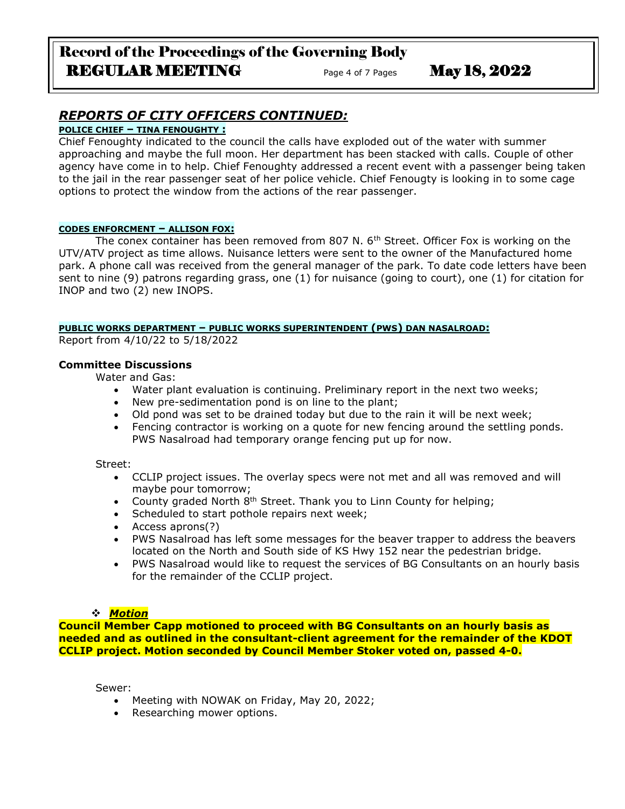# Record of the Proceedings of the Governing Body REGULAR MEETING<br>
Page 4 of 7 Pages May 18, 2022

# *REPORTS OF CITY OFFICERS CONTINUED:*

## **POLICE CHIEF – TINA FENOUGHTY :**

Chief Fenoughty indicated to the council the calls have exploded out of the water with summer approaching and maybe the full moon. Her department has been stacked with calls. Couple of other agency have come in to help. Chief Fenoughty addressed a recent event with a passenger being taken to the jail in the rear passenger seat of her police vehicle. Chief Fenougty is looking in to some cage options to protect the window from the actions of the rear passenger.

#### **CODES ENFORCMENT – ALLISON FOX:**

The conex container has been removed from 807 N. 6<sup>th</sup> Street. Officer Fox is working on the UTV/ATV project as time allows. Nuisance letters were sent to the owner of the Manufactured home park. A phone call was received from the general manager of the park. To date code letters have been sent to nine (9) patrons regarding grass, one (1) for nuisance (going to court), one (1) for citation for INOP and two (2) new INOPS.

#### **PUBLIC WORKS DEPARTMENT – PUBLIC WORKS SUPERINTENDENT (PWS) DAN NASALROAD:**

Report from 4/10/22 to 5/18/2022

### **Committee Discussions**

Water and Gas:

- Water plant evaluation is continuing. Preliminary report in the next two weeks;
- New pre-sedimentation pond is on line to the plant;
- Old pond was set to be drained today but due to the rain it will be next week;
- Fencing contractor is working on a quote for new fencing around the settling ponds. PWS Nasalroad had temporary orange fencing put up for now.

#### Street:

- CCLIP project issues. The overlay specs were not met and all was removed and will maybe pour tomorrow;
- County graded North 8<sup>th</sup> Street. Thank you to Linn County for helping;
- Scheduled to start pothole repairs next week;
- Access aprons(?)
- PWS Nasalroad has left some messages for the beaver trapper to address the beavers located on the North and South side of KS Hwy 152 near the pedestrian bridge.
- PWS Nasalroad would like to request the services of BG Consultants on an hourly basis for the remainder of the CCLIP project.

#### ❖ *Motion*

**Council Member Capp motioned to proceed with BG Consultants on an hourly basis as needed and as outlined in the consultant-client agreement for the remainder of the KDOT CCLIP project. Motion seconded by Council Member Stoker voted on, passed 4-0.**

Sewer:

- Meeting with NOWAK on Friday, May 20, 2022;
- Researching mower options.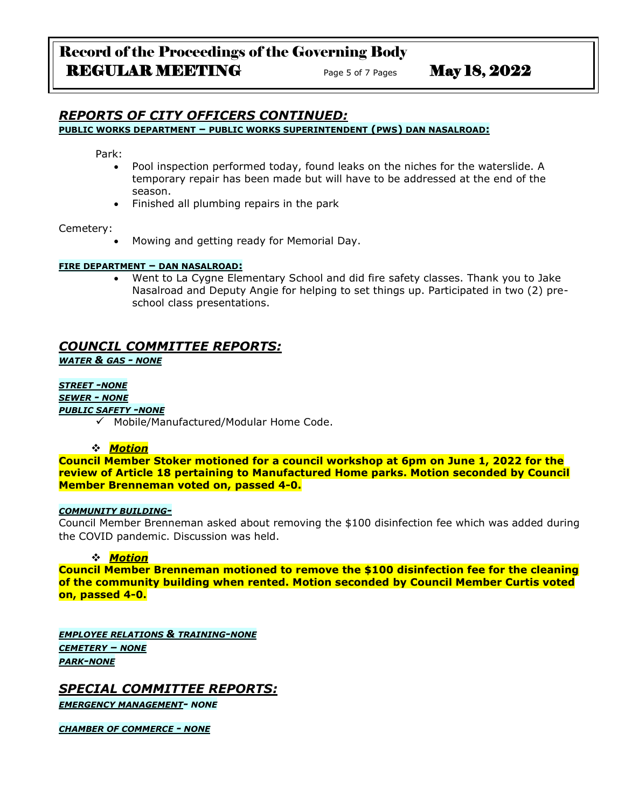#### *REPORTS OF CITY OFFICERS CONTINUED:* **PUBLIC WORKS DEPARTMENT – PUBLIC WORKS SUPERINTENDENT (PWS) DAN NASALROAD:**

Park:

- Pool inspection performed today, found leaks on the niches for the waterslide. A temporary repair has been made but will have to be addressed at the end of the season.
- Finished all plumbing repairs in the park

#### Cemetery:

• Mowing and getting ready for Memorial Day.

#### **FIRE DEPARTMENT – DAN NASALROAD:**

• Went to La Cygne Elementary School and did fire safety classes. Thank you to Jake Nasalroad and Deputy Angie for helping to set things up. Participated in two (2) preschool class presentations.

## *COUNCIL COMMITTEE REPORTS:*

*WATER & GAS - NONE*

#### *STREET -NONE*

*SEWER - NONE*

#### *PUBLIC SAFETY -NONE*

✓ Mobile/Manufactured/Modular Home Code.

#### ❖ *Motion*

**Council Member Stoker motioned for a council workshop at 6pm on June 1, 2022 for the review of Article 18 pertaining to Manufactured Home parks. Motion seconded by Council Member Brenneman voted on, passed 4-0.**

#### *COMMUNITY BUILDING-*

Council Member Brenneman asked about removing the \$100 disinfection fee which was added during the COVID pandemic. Discussion was held.

#### ❖ *Motion*

**Council Member Brenneman motioned to remove the \$100 disinfection fee for the cleaning of the community building when rented. Motion seconded by Council Member Curtis voted on, passed 4-0.**

*EMPLOYEE RELATIONS & TRAINING-NONE CEMETERY – NONE PARK-NONE*

*SPECIAL COMMITTEE REPORTS: EMERGENCY MANAGEMENT- NONE*

*CHAMBER OF COMMERCE - NONE*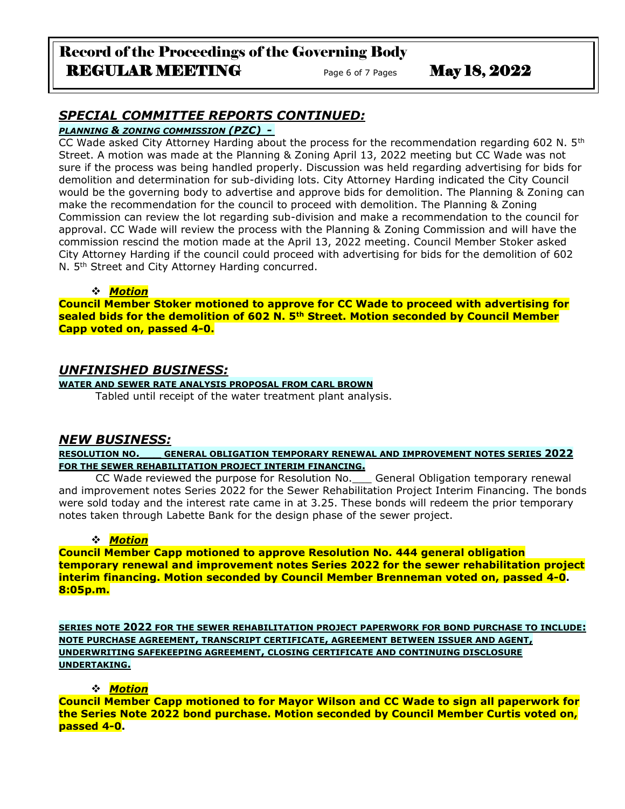# Record of the Proceedings of the Governing Body REGULAR MEETING<br>
Page 6 of 7 Pages May 18, 2022

# *SPECIAL COMMITTEE REPORTS CONTINUED:*

### *PLANNING & ZONING COMMISSION (PZC) -*

CC Wade asked City Attorney Harding about the process for the recommendation regarding 602 N.  $5<sup>th</sup>$ Street. A motion was made at the Planning & Zoning April 13, 2022 meeting but CC Wade was not sure if the process was being handled properly. Discussion was held regarding advertising for bids for demolition and determination for sub-dividing lots. City Attorney Harding indicated the City Council would be the governing body to advertise and approve bids for demolition. The Planning & Zoning can make the recommendation for the council to proceed with demolition. The Planning & Zoning Commission can review the lot regarding sub-division and make a recommendation to the council for approval. CC Wade will review the process with the Planning & Zoning Commission and will have the commission rescind the motion made at the April 13, 2022 meeting. Council Member Stoker asked City Attorney Harding if the council could proceed with advertising for bids for the demolition of 602 N. 5<sup>th</sup> Street and City Attorney Harding concurred.

## ❖ *Motion*

**Council Member Stoker motioned to approve for CC Wade to proceed with advertising for sealed bids for the demolition of 602 N. 5th Street. Motion seconded by Council Member Capp voted on, passed 4-0.**

# *UNFINISHED BUSINESS:*

## **WATER AND SEWER RATE ANALYSIS PROPOSAL FROM CARL BROWN**

Tabled until receipt of the water treatment plant analysis.

## *NEW BUSINESS:*

**RESOLUTION NO.\_\_\_ GENERAL OBLIGATION TEMPORARY RENEWAL AND IMPROVEMENT NOTES SERIES 2022 FOR THE SEWER REHABILITATION PROJECT INTERIM FINANCING.**

CC Wade reviewed the purpose for Resolution No.\_\_\_ General Obligation temporary renewal and improvement notes Series 2022 for the Sewer Rehabilitation Project Interim Financing. The bonds were sold today and the interest rate came in at 3.25. These bonds will redeem the prior temporary notes taken through Labette Bank for the design phase of the sewer project.

## ❖ *Motion*

**Council Member Capp motioned to approve Resolution No. 444 general obligation temporary renewal and improvement notes Series 2022 for the sewer rehabilitation project interim financing. Motion seconded by Council Member Brenneman voted on, passed 4-0. 8:05p.m.**

**SERIES NOTE 2022 FOR THE SEWER REHABILITATION PROJECT PAPERWORK FOR BOND PURCHASE TO INCLUDE: NOTE PURCHASE AGREEMENT, TRANSCRIPT CERTIFICATE, AGREEMENT BETWEEN ISSUER AND AGENT, UNDERWRITING SAFEKEEPING AGREEMENT, CLOSING CERTIFICATE AND CONTINUING DISCLOSURE UNDERTAKING.**

## ❖ *Motion*

**Council Member Capp motioned to for Mayor Wilson and CC Wade to sign all paperwork for the Series Note 2022 bond purchase. Motion seconded by Council Member Curtis voted on, passed 4-0.**